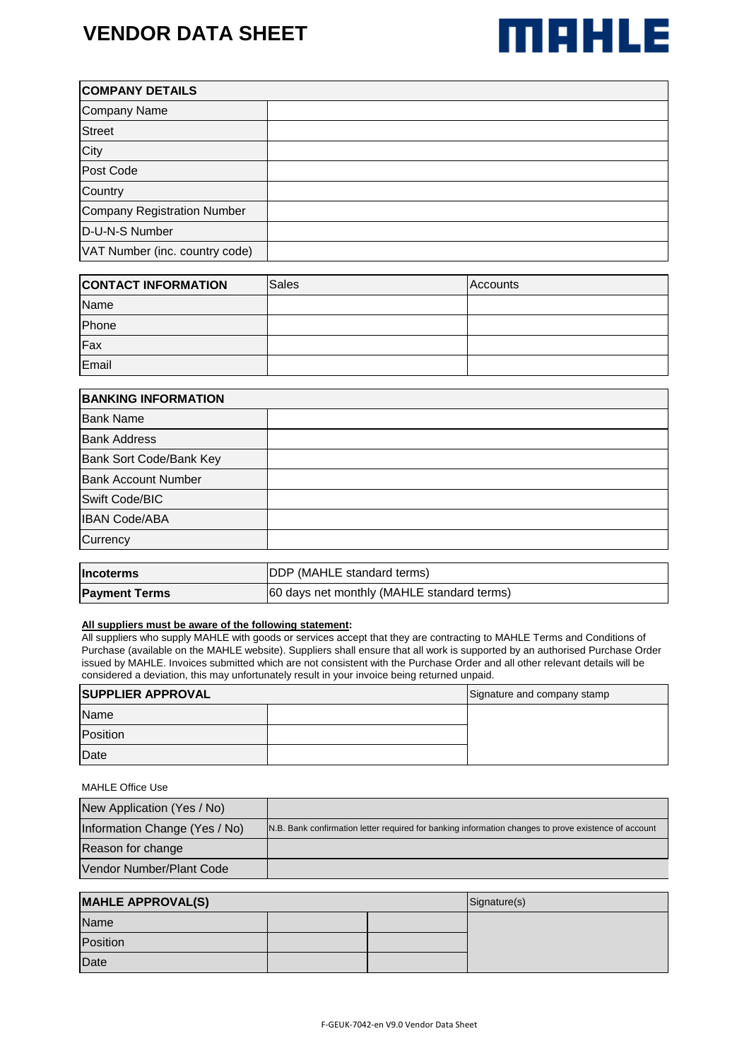# **VENDOR DATA SHEET**



| <b>COMPANY DETAILS</b>         |  |  |
|--------------------------------|--|--|
| <b>Company Name</b>            |  |  |
| <b>Street</b>                  |  |  |
| City                           |  |  |
| Post Code                      |  |  |
| Country                        |  |  |
| Company Registration Number    |  |  |
| D-U-N-S Number                 |  |  |
| VAT Number (inc. country code) |  |  |

| <b>CONTACT INFORMATION</b> | Sales | <b>Accounts</b> |
|----------------------------|-------|-----------------|
| Name                       |       |                 |
| Phone                      |       |                 |
| Fax                        |       |                 |
| Email                      |       |                 |

| <b>BANKING INFORMATION</b> |                                    |  |
|----------------------------|------------------------------------|--|
| <b>Bank Name</b>           |                                    |  |
| <b>Bank Address</b>        |                                    |  |
| Bank Sort Code/Bank Key    |                                    |  |
| <b>Bank Account Number</b> |                                    |  |
| Swift Code/BIC             |                                    |  |
| <b>IBAN Code/ABA</b>       |                                    |  |
| Currency                   |                                    |  |
|                            |                                    |  |
| <b>Incoterms</b>           | <b>IDDP (MAHLE standard terms)</b> |  |

| <b>Incoterms</b>     | <b>DDP</b> (MAHLE standard terms)          |  |
|----------------------|--------------------------------------------|--|
| <b>Payment Terms</b> | 60 days net monthly (MAHLE standard terms) |  |

### **All suppliers must be aware of the following statement:**

All suppliers who supply MAHLE with goods or services accept that they are contracting to MAHLE Terms and Conditions of Purchase (available on the MAHLE website). Suppliers shall ensure that all work is supported by an authorised Purchase Order issued by MAHLE. Invoices submitted which are not consistent with the Purchase Order and all other relevant details will be considered a deviation, this may unfortunately result in your invoice being returned unpaid.

| <b>SUPPLIER APPROVAL</b> |  | Signature and company stamp |
|--------------------------|--|-----------------------------|
| Name                     |  |                             |
| Position                 |  |                             |
| Date                     |  |                             |

### MAHLE Office Use

| New Application (Yes / No)    |                                                                                                      |
|-------------------------------|------------------------------------------------------------------------------------------------------|
| Information Change (Yes / No) | N.B. Bank confirmation letter required for banking information changes to prove existence of account |
| Reason for change             |                                                                                                      |
| Vendor Number/Plant Code      |                                                                                                      |

| <b>MAHLE APPROVAL(S)</b> |  | Signature(s) |  |
|--------------------------|--|--------------|--|
| Name                     |  |              |  |
| Position                 |  |              |  |
| Date                     |  |              |  |